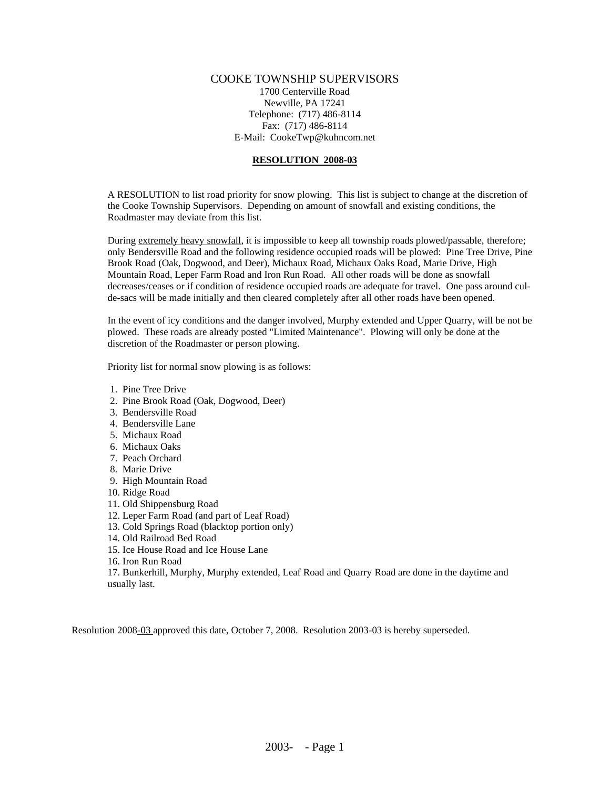## COOKE TOWNSHIP SUPERVISORS

1700 Centerville Road Newville, PA 17241 Telephone: (717) 486-8114 Fax: (717) 486-8114 E-Mail: CookeTwp@kuhncom.net

## **RESOLUTION 2008-03**

A RESOLUTION to list road priority for snow plowing. This list is subject to change at the discretion of the Cooke Township Supervisors. Depending on amount of snowfall and existing conditions, the Roadmaster may deviate from this list.

During extremely heavy snowfall, it is impossible to keep all township roads plowed/passable, therefore; only Bendersville Road and the following residence occupied roads will be plowed: Pine Tree Drive, Pine Brook Road (Oak, Dogwood, and Deer), Michaux Road, Michaux Oaks Road, Marie Drive, High Mountain Road, Leper Farm Road and Iron Run Road. All other roads will be done as snowfall decreases/ceases or if condition of residence occupied roads are adequate for travel. One pass around culde-sacs will be made initially and then cleared completely after all other roads have been opened.

In the event of icy conditions and the danger involved, Murphy extended and Upper Quarry, will be not be plowed. These roads are already posted "Limited Maintenance". Plowing will only be done at the discretion of the Roadmaster or person plowing.

Priority list for normal snow plowing is as follows:

- 1. Pine Tree Drive
- 2. Pine Brook Road (Oak, Dogwood, Deer)
- 3. Bendersville Road
- 4. Bendersville Lane
- 5. Michaux Road
- 6. Michaux Oaks
- 7. Peach Orchard
- 8. Marie Drive
- 9. High Mountain Road
- 10. Ridge Road
- 11. Old Shippensburg Road
- 12. Leper Farm Road (and part of Leaf Road)
- 13. Cold Springs Road (blacktop portion only)
- 14. Old Railroad Bed Road
- 15. Ice House Road and Ice House Lane
- 16. Iron Run Road

17. Bunkerhill, Murphy, Murphy extended, Leaf Road and Quarry Road are done in the daytime and usually last.

Resolution 2008-03 approved this date, October 7, 2008. Resolution 2003-03 is hereby superseded.